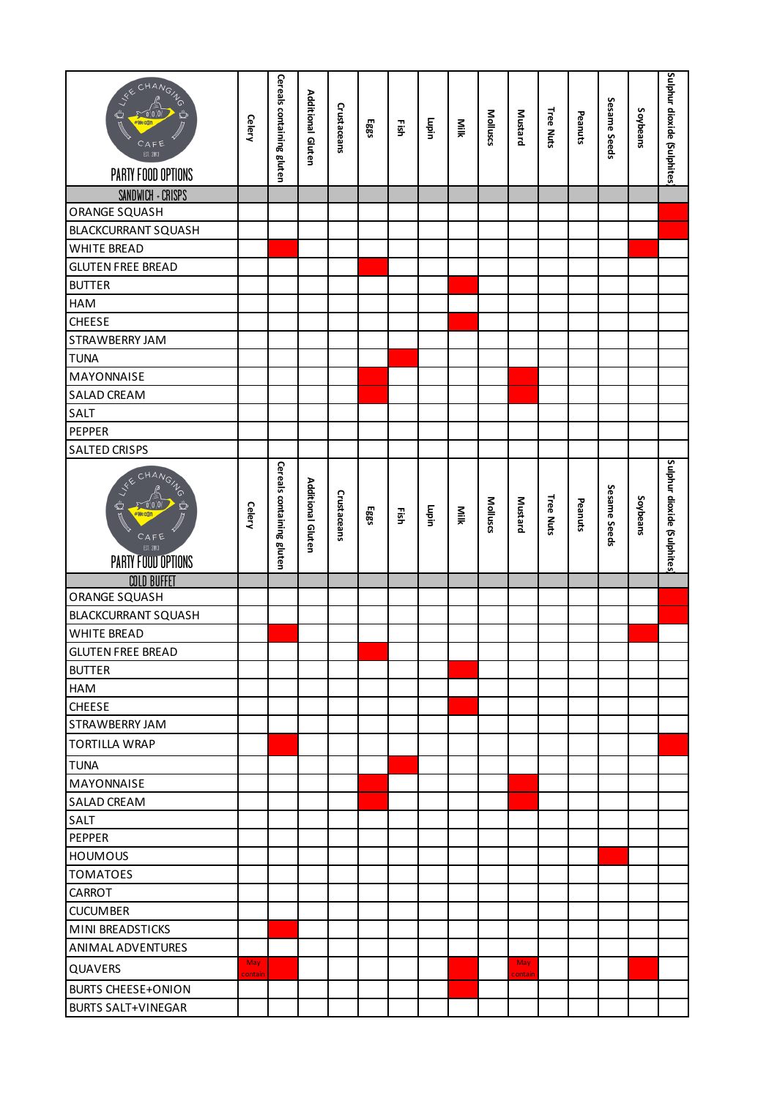| <b>KECHANGING</b><br>#Wec0<br>CAFE<br>EST. 2013<br>PARTY FOOD OPTIONS                   | <b>Gelery</b> | Cereals containing gluten | Additional Gluten | Crustaceans | Eggs | Eish | Lupin | Niik | Molluscs | Mustard        | Tree Nuts | Peanuts | Sesame Seeds | Soybeans | Sulphur dioxide (Sulphites |
|-----------------------------------------------------------------------------------------|---------------|---------------------------|-------------------|-------------|------|------|-------|------|----------|----------------|-----------|---------|--------------|----------|----------------------------|
| SANDWICH + CRISPS                                                                       |               |                           |                   |             |      |      |       |      |          |                |           |         |              |          |                            |
| <b>ORANGE SQUASH</b>                                                                    |               |                           |                   |             |      |      |       |      |          |                |           |         |              |          |                            |
| <b>BLACKCURRANT SQUASH</b>                                                              |               |                           |                   |             |      |      |       |      |          |                |           |         |              |          |                            |
| <b>WHITE BREAD</b>                                                                      |               |                           |                   |             |      |      |       |      |          |                |           |         |              |          |                            |
| <b>GLUTEN FREE BREAD</b>                                                                |               |                           |                   |             |      |      |       |      |          |                |           |         |              |          |                            |
| <b>BUTTER</b>                                                                           |               |                           |                   |             |      |      |       |      |          |                |           |         |              |          |                            |
| HAM                                                                                     |               |                           |                   |             |      |      |       |      |          |                |           |         |              |          |                            |
| <b>CHEESE</b>                                                                           |               |                           |                   |             |      |      |       |      |          |                |           |         |              |          |                            |
| STRAWBERRY JAM                                                                          |               |                           |                   |             |      |      |       |      |          |                |           |         |              |          |                            |
| <b>TUNA</b>                                                                             |               |                           |                   |             |      |      |       |      |          |                |           |         |              |          |                            |
| MAYONNAISE                                                                              |               |                           |                   |             |      |      |       |      |          |                |           |         |              |          |                            |
| SALAD CREAM                                                                             |               |                           |                   |             |      |      |       |      |          |                |           |         |              |          |                            |
| SALT                                                                                    |               |                           |                   |             |      |      |       |      |          |                |           |         |              |          |                            |
| PEPPER                                                                                  |               |                           |                   |             |      |      |       |      |          |                |           |         |              |          |                            |
| <b>SALTED CRISPS</b>                                                                    |               |                           |                   |             |      |      |       |      |          |                |           |         |              |          |                            |
| CHANGING<br>A C= LKR<br>#Wecgr<br>$\overline{C}$ AFE<br>EST. 2013<br>PARTY FOOD OPTIONS | <b>Celery</b> | Cereals containing gluten | Additional Gluten | Crustaceans | Eggs | Ηšh  | Lupin | Niik | Molluscs | <b>Mustard</b> | Tree Nuts | Peanuts | Sesame Seeds | Soybeans | Sulphur dioxide (Sulphites |
| <b>COLD BUFFET</b>                                                                      |               |                           |                   |             |      |      |       |      |          |                |           |         |              |          |                            |
| <b>ORANGE SQUASH</b>                                                                    |               |                           |                   |             |      |      |       |      |          |                |           |         |              |          |                            |
| <b>BLACKCURRANT SQUASH</b>                                                              |               |                           |                   |             |      |      |       |      |          |                |           |         |              |          |                            |
| <b>WHITE BREAD</b>                                                                      |               |                           |                   |             |      |      |       |      |          |                |           |         |              |          |                            |
| <b>GLUTEN FREE BREAD</b>                                                                |               |                           |                   |             |      |      |       |      |          |                |           |         |              |          |                            |
| <b>BUTTER</b>                                                                           |               |                           |                   |             |      |      |       |      |          |                |           |         |              |          |                            |
| <b>HAM</b>                                                                              |               |                           |                   |             |      |      |       |      |          |                |           |         |              |          |                            |
| <b>CHEESE</b>                                                                           |               |                           |                   |             |      |      |       |      |          |                |           |         |              |          |                            |
| <b>STRAWBERRY JAM</b>                                                                   |               |                           |                   |             |      |      |       |      |          |                |           |         |              |          |                            |
| <b>TORTILLA WRAP</b>                                                                    |               |                           |                   |             |      |      |       |      |          |                |           |         |              |          |                            |
| <b>TUNA</b>                                                                             |               |                           |                   |             |      |      |       |      |          |                |           |         |              |          |                            |
| <b>MAYONNAISE</b>                                                                       |               |                           |                   |             |      |      |       |      |          |                |           |         |              |          |                            |
| <b>SALAD CREAM</b>                                                                      |               |                           |                   |             |      |      |       |      |          |                |           |         |              |          |                            |
| <b>SALT</b>                                                                             |               |                           |                   |             |      |      |       |      |          |                |           |         |              |          |                            |
| PEPPER                                                                                  |               |                           |                   |             |      |      |       |      |          |                |           |         |              |          |                            |
| <b>HOUMOUS</b>                                                                          |               |                           |                   |             |      |      |       |      |          |                |           |         |              |          |                            |
| <b>TOMATOES</b>                                                                         |               |                           |                   |             |      |      |       |      |          |                |           |         |              |          |                            |
| CARROT                                                                                  |               |                           |                   |             |      |      |       |      |          |                |           |         |              |          |                            |
| <b>CUCUMBER</b>                                                                         |               |                           |                   |             |      |      |       |      |          |                |           |         |              |          |                            |
| MINI BREADSTICKS                                                                        |               |                           |                   |             |      |      |       |      |          |                |           |         |              |          |                            |
| ANIMAL ADVENTURES                                                                       |               |                           |                   |             |      |      |       |      |          |                |           |         |              |          |                            |
| QUAVERS                                                                                 | May           |                           |                   |             |      |      |       |      |          | May            |           |         |              |          |                            |
| <b>BURTS CHEESE+ONION</b>                                                               | contain       |                           |                   |             |      |      |       |      |          | contain        |           |         |              |          |                            |
| <b>BURTS SALT+VINEGAR</b>                                                               |               |                           |                   |             |      |      |       |      |          |                |           |         |              |          |                            |
|                                                                                         |               |                           |                   |             |      |      |       |      |          |                |           |         |              |          |                            |